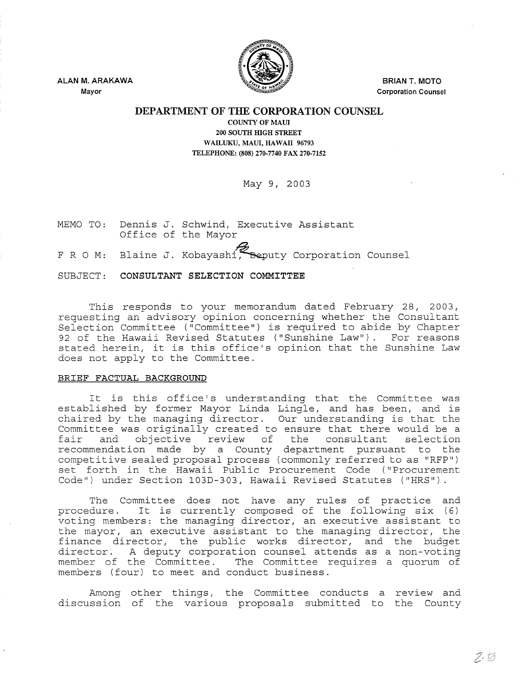

**ALAN M. ARAKAWA Mayor** 

**BRIAN T. MOTO Corporation Counsel** 

## **DEPARTMENT OF THE CORPORATION COUNSEL**

**COUNTY OF MAUl 200 SOUTH HIGH STREET**  WAILUKU, MAUL, HAWAII 96793 **TELEPHONE: (808) 270-7740 FAX 270-7152** 

May 9, 2003

MEMO TO: Dennis J. Schwind, Executive Assistant Office of the Mayor

F R O M: Blaine J. Kobayashi, Beputy Corporation Counsel

SUBJECT: **CONSULTANT SELECTION COMMITTEE** 

This responds to your memorandum dated February 28, 2003, requesting an advisory opinion concerning whether the Consultant Selection Committee ("Committee") is required to abide by Chapter 92 of the Hawaii Revised Statutes ("Sunshine Law"). For reasons stated herein, it is this office's opinion that the Sunshine Law does not apply to the Committee.

## **BRIEF FACTUAL BACKGROUND**

It is this office's understanding that the Committee was established by former Mayor Linda Lingle, and has been, and is chaired by the managing director. Our understanding is that the Committee was originally created to ensure that there would be a fair and objective review of the consultant selection fair and objective review of the consultant selection<br>recommendation made by a County department pursuant to the competitive sealed proposal process (commonly referred to as "RFP") set forth in the Hawaii Public Procurement Code ("Procurement Code") under Section 103D-303, Hawaii Revised Statutes ("HRS").

The committee does not have any rules of practice and procedure. It is currently composed of the following six (6) voting members: the managing director, an executive assistant to the mayor, an executive assistant to the managing director, the finance director, the public works director, and the budget director. A deputy corporation counsel attends as a non-voting member of the Committee. The Committee requires a quorum of members (four) to meet and conduct business.

Among other things, the Committee conducts a review and discussion of the various proposals submitted to the County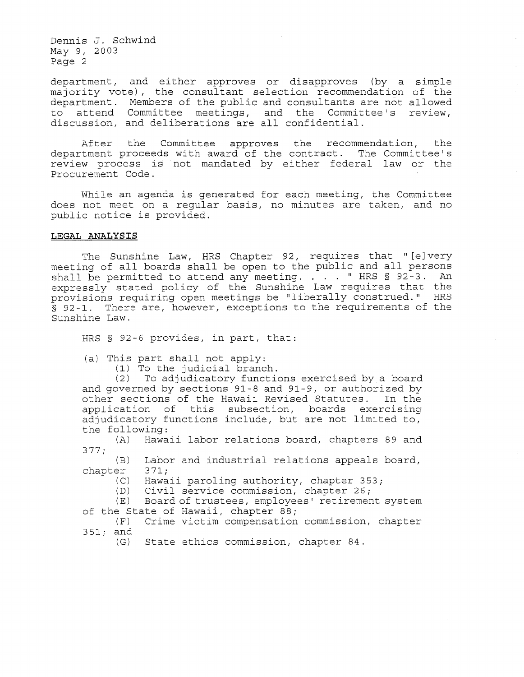Dennis J. Schwind May *9* <sup>r</sup>*2003*  Page 2

department, and either approves or disapproves (by a simple majority vote), the consultant selection recommendation of the department. Members of the public and consultants are not allowed to attend Committee meetings, and the Committee's discussion r and deliberations are all confidential. review,

After the Committee approves the recommendation, the department proceeds with award of the contract. The Committee's review process is not mandated by either federal law or the Procurement Code.

While an agenda is generated for each meeting, the Committee does not meet on a reqular basis, no minutes are taken, and no public notice is provided.

## **LEGAL ANALYSIS**

The Sunshine Law, HRS Chapter 92, requires that "[e] very meeting of all boards shall be open to the public and all persons shall be permitted to attend any meeting.  $\ldots$  " HRS § 92-3. An expressly stated policy of the Sunshine Law requires that the provisions requiring open meetings be "liberally construed." HRS  $\bar{s}$  92-1. There are, however, exceptions to the requirements of the Sunshine Law.

HRS § 92-6 provides, in part, that:

(a) This part shall not apply:

(1) To the judicial branch.

(2) To adjudicatory functions exercised by a board and governed by sections 91-8 and 91-9, or authorized by other sections of the Hawaii Revised Statutes. In the application of this subsection, boards exercising adjudicatory functions include, but are not limited to, the following:<br>(A) Hawa

Hawaii labor relations board, chapters 89 and 377;

 $(B)$  Labor and industrial relations appeals board,<br>er 371; chapter<br>(C)

(C) Hawaii paroling authority, chapter 353;<br>(D) Civil service commission, chapter 26; (D) Civil service commission, chapter 26;<br>(E) Board of trustees, emplovees' retiremen

Board of trustees, employees' retirement system of the State of Hawaii, chapter 88;<br>(F) Crime victim compensation

Crime victim compensation commission, chapter 351; and

(G) State ethics commission, chapter 84.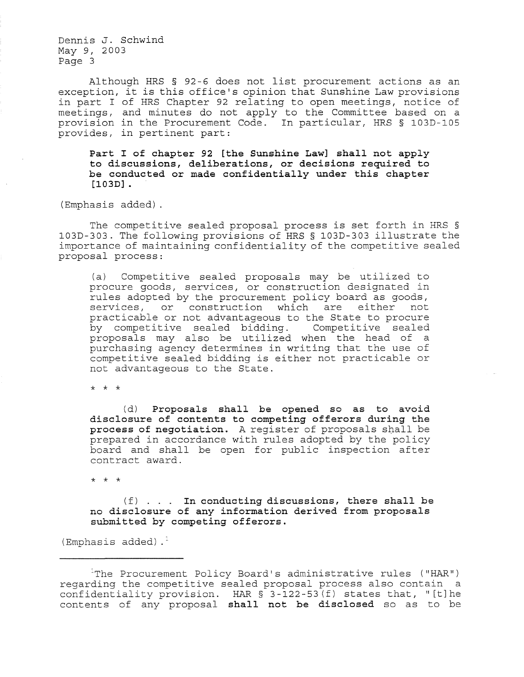Dennis **J.** Schwind May 9, 2003 Page 3

Although HRS § 92-6 does not list procurement actions as an exception, it is this office's opinion that Sunshine Law provisions in part I of HRS Chapter 92 relating to open meetings, notice of meetings, and minutes do not apply to the Committee based on a provision in the Procurement Code. In particular, HRS § 103D-I05 provides, in pertinent part:

**Part I of chapter 92 [the Sunshine Law] shall not apply to discussions, deliberations, or decisions required to be conducted or made confidentially under this chapter [103D] .** 

(Emphasis added)

The competitive sealed proposal process is set forth in HRS § 103D-303. The following provisions of HRS § 103D-303 illustrate the importance of maintaining confidentiality of the competitive sealed proposal process:

(a) Competitive sealed proposals may be utilized to procure goods, services, or construction designated in rules adopted by the procurement policy board as goods, services, or construction which are either not practicable or not advantageous to the State to procure by competitive sealed bidding. Competitive sealed proposals may also be utilized when the head of a purchasing agency determines in writing that the use of competitive sealed bidding is either not practicable or not advantageous to the State.

\* \* \*

(d) **Proposals shall be opened so as to avoid disclosure of contents to competing offerors during the process of negotiation.** A register of proposals shall be prepared in accordance with rules adopted by the policy board and shall be open for public inspection after contract award.

\* \* \*

(f) **In conducting discussions, there shall be no disclosure of any information derived from proposals submitted by competing offerors.** 

(Emphasis added). $<sup>1</sup>$ </sup>

 $1$ The Procurement Policy Board's administrative rules ("HAR") regarding the competitive sealed proposal process also contain a confidentiality provision. HAR  $\S$  3-122-53(f) states that, "[t]he contents of any proposal **shall not be disclosed** so as to be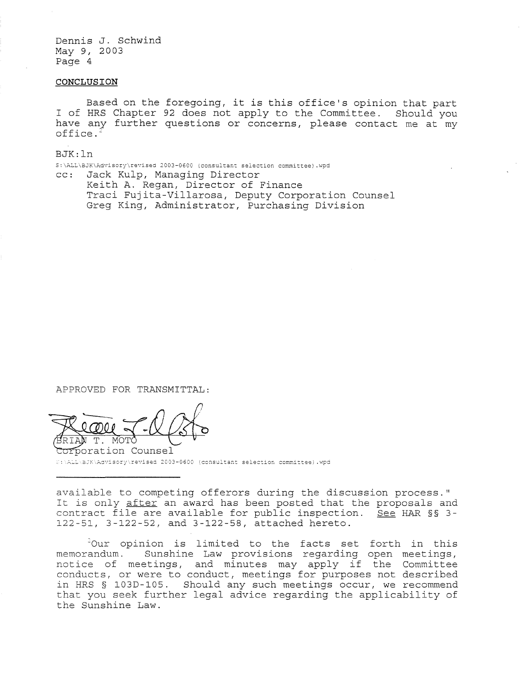Dennis J. Schwind May 9, 2003 Page 4

## **CONCLUSION**

Based on the foregoing, it is this office's opinion that part I of HRS Chapter 92 does not apply to the Committee. Should you have any further questions or concerns, please contact me at my office.<sup>2</sup>

BJK: In S:\ALL\BJK\Advisory\revised 2003-0600 (consultant selection committee).wpd cc: Jack Kulp, Managing Director Keith A. Regan, Director of Finance Traci Fujita-Villarosa, Deputy Corporation Counsel Greg King, Administrator, Purchasing Division

APPROVED FOR TRANSMITTAL:

APPROVED FOR TRANSMITTAL:

S:\ALL\BJK\Advisory\revised 2003-0600 (consultant selection committee).wpd

available to competing offerors during the discussion process." It is only after an award has been posted that the proposals and contract file are available for public inspection. See HAR §§ 3-122-51, 3-122-52, and 3-122-58, attached hereto.

-Our opinion is limited to the facts set forth in this memorandum. Sunshine Law provisions regarding open meetings, notice of meetings, and minutes may apply if the Committee conducts, or were to conduct, meetings for purposes not described in HRS § 103D-105. Should any such meetings occur, we recommend that you seek further legal advice regarding the applicability of the Sunshine Law.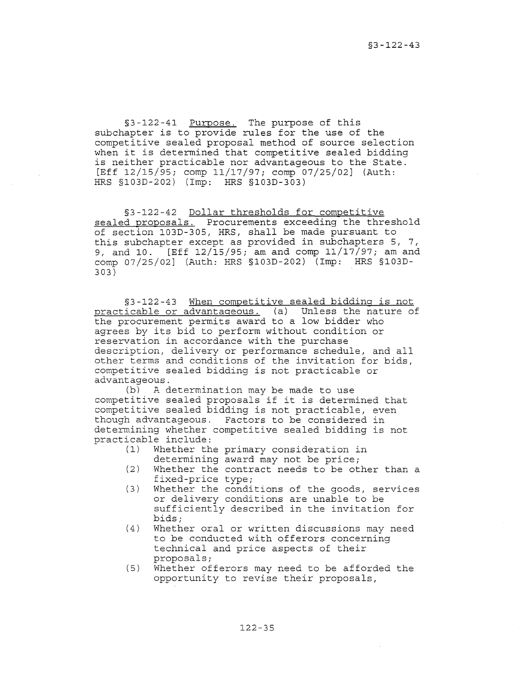§3-122-41 Purpose. The purpose of this subchapter is to provide rules for the use of the competitive sealed proposal method of source selection when it is determined that competitive sealed bidding is neither practicable nor advantageous to the State. [Eff 12/15/95; comp 11/17/97; comp 07/25/02] (Auth: HRS §103D-202) (Imp: HRS §103D-303)

§3-122-42 Dollar thresholds for competitive sealed proposals. Procurements exceeding the threshold of section 103D-305, HRS, shall be made pursuant to this subchapter except as provided in subchapters 5, 7, 9, and 10. [Eff 12/15/95; am and comp 11/17/97; am and comp 07/25/02] (Auth: HRS §103D-202) (Imp: HRS §103D-303)

§3-122-43 When competitive sealed bidding is not practicable or advantageous. (a) Unless the nature of the procurement permits award to a low bidder who agrees by its bid to perform without condition or reservation in accordance with the purchase description, delivery or performance schedule, and all other terms and conditions of the invitation for bids, competitive sealed bidding is not practicable or  $advantageous.  
(b) A d$ 

A determination may be made to use competitive sealed proposals if it is determined that competitive sealed bidding is not practicable, even though advantageous. Factors to be considered in determining whether competitive sealed bidding is not practicable include:<br>(1) Whether th

- Whether the primary consideration in determining award may not be price;
- (2) Whether the contract needs to be other than a fixed-price type;
- (3) Whether the conditions of the goods, services or delivery conditions are unable to be sufficiently described in the invitation for bids;
- (4) Whether oral or written discussions may need to be conducted with offerors concerning technical and price aspects of their proposals;
- (5) Whether offerors may need to be afforded the opportunity to revise their proposals,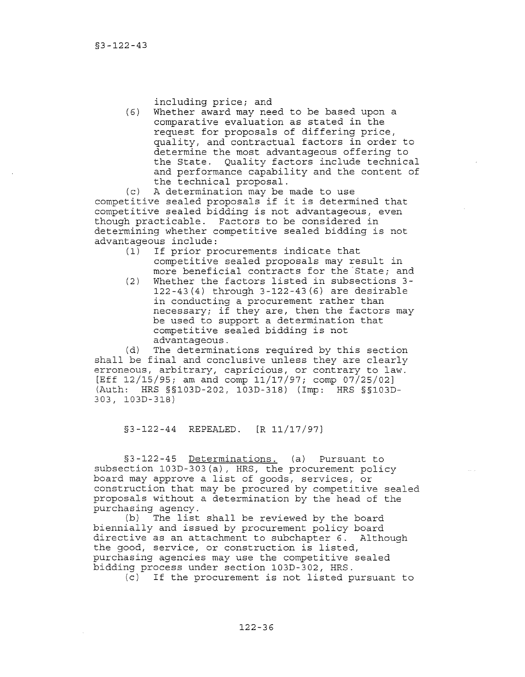including price; and

(6) Whether award may need to be based upon a comparative evaluation as stated in the request for proposals of differing price, quality, and contractual factors in order to determine the most advantageous offering to the State. Quality factors include technical and performance capability and the content of the technical proposal.

(c) A determination may be made to use competitive sealed proposals if it is determined that competitive sealed bidding is not advantageous, even though practicable. Factors to be considered in determining whether competitive sealed bidding is not advantageous include:<br>(1) If prior pr

- If prior procurements indicate that competitive sealed proposals may result in more beneficial contracts for the State; and
- (2) Whether the factors listed in subsections 3- 122-43(4) through 3-122-43(6) are desirable in conducting a procurement rather than necessary; if they are, then the factors may be used to support a determination that competitive sealed bidding is not advantageous.

(d) The determinations required by this section shall be final and conclusive unless they are clearly erroneous, arbitrary, capricious, or contrary to law. [Eff 12/15/95; am and comp 11/17/97; comp 07/25/02] (Auth: HRS §§103D-202, 103D-318) (Imp: HRS §§103D-*303* J 103D-318)

§3-122-44 REPEALED. [R 11/17/97J

§3-122-4S Determinations. (a) Pursuant to subsection 103D-303(a), HRS, the procurement policy board may approve a list of goods, services, or construction that may be procured by competitive sealed proposals without a determination by the head of the purchasing agency.

(b) The list shall be reviewed by the board biennially and issued by procurement policy board directive as an attachment to subchapter 6. Although the good, service, or construction is listed, purchasing agencies may use the competitive sealed bidding process under section 103D-302, HRS.

(c) If the procurement is not listed pursuant to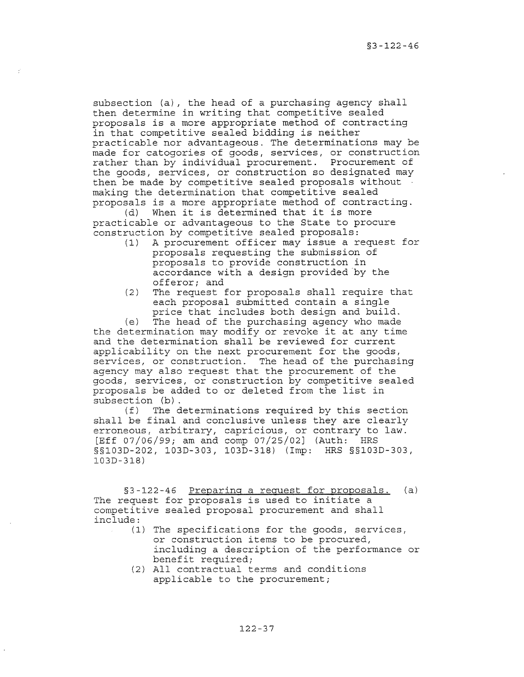subsection (a), the head of a purchasing agency shall then determine in writing that competitive sealed proposals is a more appropriate method of contracting in that competitive sealed bidding is neither practicable nor advantageous. The determinations may be made for catogories of goods, services, or construction rather than by individual procurement. Procurement of the goods, services, or construction so designated may then be made by competitive sealed proposals without making the determination that competitive sealed proposals is a more appropriate method of contracting.<br>(d) When it is determined that it is more

When it is determined that it is more practicable or advantageous to the State to procure construction by competitive sealed proposals:

- (1) A procurement officer may issue a request for proposals requesting the submission of proposals to provide construction in accordance with a design provided by the offeror; and
- (2) The request for proposals shall require that each proposal submitted contain a single price that includes both design and build.

(e) The head of the purchasing agency who made

the determination may modify or revoke it at any time and the determination shall be reviewed for current applicability on the next procurement for the goods, services, or construction. The head of the purchasing agency may also request that the procurement of the goods, services, or construction by competitive sealed proposals be added to or deleted from the list in subsection  $(b)$ .<br>(f) The d

The determinations required by this section shall be final and conclusive unless they are clearly erroneous, arbitrary, capricious, or contrary to law. [Eff 07/06/99; am and comp 07/25/02J (Auth: HRS §§103D-202, 103D-303, 103D-318) (Imp: HRS §§103D-303, 103D-318)

§3-122-46 Preparing a request for proposals. (a) The request for proposals is used to initiate a competitive sealed proposal procurement and shall include:

- (1) The specifications for the goods, services, or construction items to be procured, including a description of the performance or benefit required;
- (2) All contractual terms and conditions applicable to the procurement;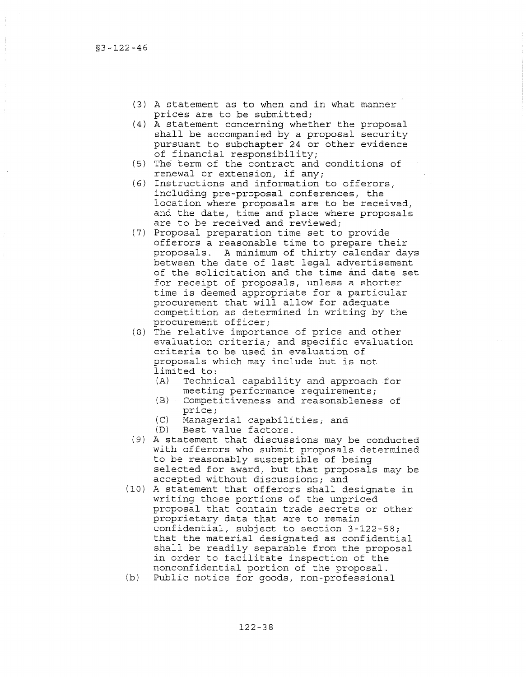- (3) A statement as to when and in what manner prices are to be submitted;
- (4) A statement concerning whether the proposal shall be accompanied by a proposal security pursuant to subchapter 24 or other evidence of financial responsibility;
- (5) The term of the contract and conditions of renewal or extension, if any;
- (6) Instructions and information to offerors, including pre-proposal conferences, the location where proposals are to be received, and the date, time and place where proposals are to be received and reviewed;
- (7) Proposal preparation time set to provide offerors a reasonable time to prepare their proposals. A minimum of thirty calendar days between the date of last legal advertisement of the solicitation and the time and date set for receipt of proposals, unless a shorter time is deemed appropriate for a particular procurement that will allow for adequate competition as determined in writing by the procurement officer;
- (8) The relative importance of price and other evaluation criteria; and specific evaluation criteria to be used in evaluation of proposals which may include but is not limited to:
	- (A) Technical capability and approach for meeting performance requirements;
	- (B) Competitiveness and reasonableness of price;
	- (C) Managerial capabilities; and
	- (D) Best value factors.
- (9) A statement that discussions may be conducted with offerors who submit proposals determined to be reasonably susceptible of being selected for award, but that proposals may be accepted without discussions; and
- (10) A statement that offerors shall designate in writing those portions of the unpriced proposal that contain trade secrets or other proprietary data that are to remain confidential, subject to section 3-122-58; that the material designated as confidential shall be readily separable from the proposal in order to facilitate inspection of the nonconfidential portion of the proposal.
- (b) Public notice for goods, non-professional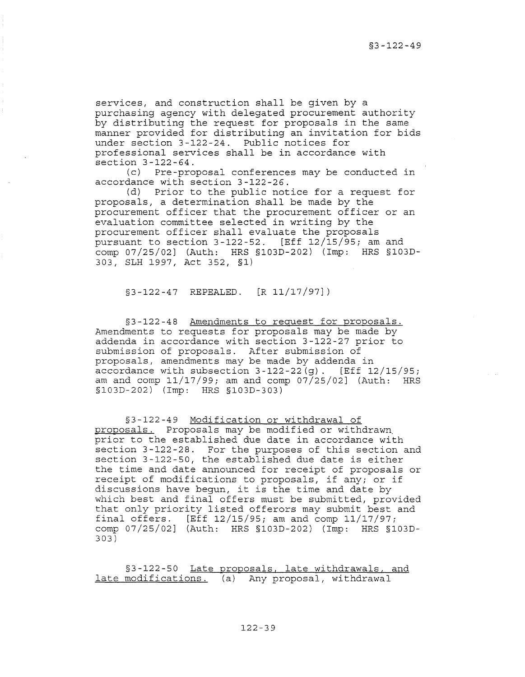services, and construction shall be given by a purchasing agency with delegated procurement authority by distributing the request for proposals in the same manner provided for distributing an invitation for bids under section 3-122-24. Public notices for professional services shall be in accordance with section  $3-122-64$ .<br>(c) Pre-pro

Pre-proposal conferences may be conducted in accordance with section 3-122-26.

Prior to the public notice for a request for proposals, a determination shall be made by the procurement officer that the procurement officer or an evaluation committee selected in writing by the procurement officer shall evaluate the proposals pursuant to section  $3-122-52$ . [Eff  $12/15/95$ ; am and comp 07/25/02] (Auth: HRS §103D-202) (Imp: HRS §103D-303, SLH 1997, Act 352, §1)

§3-122-47 REPEALED. [R 11/17/97])

§3-122-48 Amendments to request for proposals. Amendments to requests for proposals may be made by addenda in accordance with section 3-122-27 prior to submission of proposals. After submission of proposals, amendments may be made by addenda in accordance with subsection  $3-122-22(g)$ . [Eff  $12/15/95$ ; am and comp  $11/17/99$ ; am and comp  $07/25/02$ ] (Auth: HRS § 103 D - 202) ( Imp: HRS § 103 D - 303)

§3-122-49 Modification or withdrawal of proposals. Proposals may be modified or withdrawn. prior to the established due date in accordance with section 3-122-28. For the purposes of this section and section 3-122-50, the established due date is either the time and date announced for receipt of proposals or receipt of modifications to proposals, if any; or if discussions have begun, it is the time and date by which best and final offers must be submitted, provided that only priority listed offerors may submit best and final offers. [Eff 12/15/95; am and comp 11/17/97; comp 07/25/02] (Auth: HRS §103D-202) (Imp: HRS §103D-303)

§3-122-50 Late proposals, late withdrawals, and late modifications. (a) Any proposal, withdrawal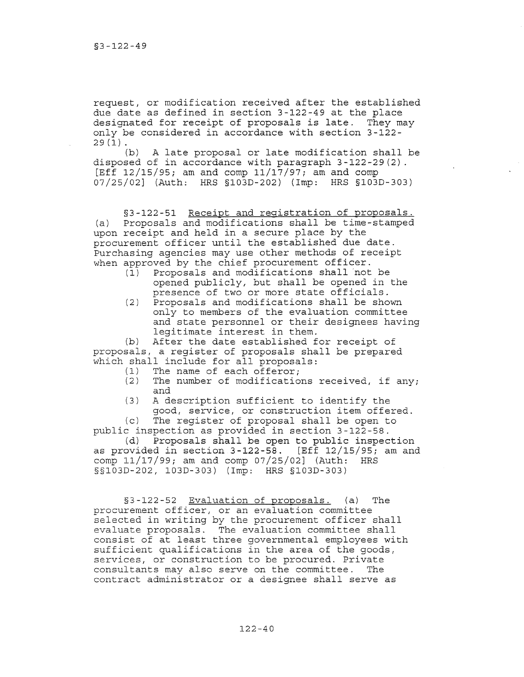request, or modification received after the established due date as defined in section 3-122-49 at the place designated for receipt of proposals is late. They may only be considered in accordance with section 3-122-  $29(1)$ .

(b) A late proposal or late modification shall be disposed of in accordance with paragraph 3-122-29(2). [Eff  $12/15/95$ ; am and comp  $11/17/97$ ; am and comp 07/25/02] (Auth: HRS §103D-202) (Imp: HRS §103D-303)

§3-122-51 Receipt and registration of proposals. (a) Proposals and modifications shall be time-stamped upon receipt and held in a secure place by the procurement officer until the established due date. Purchasing agencies may use other methods of receipt when approved by the chief procurement officer.

- (1) Proposals and modifications shall not be opened publicly, but shall be opened in the presence of two or more state officials.
- (2) Proposals and modifications shall be shown only to members of the evaluation committee and state personnel or their designees having legitimate interest in them.

(b) After the date established for receipt of proposals, a register of proposals shall be prepared which shall include for all proposals:<br>(1) The name of each offeror:

- (1) The name of each offeror;<br>(2) The number of modificatio
- The number of modifications received, if any; and
- (3) A description sufficient to identify the good, service, or construction item offered.

(c) The register of proposal shall be open to public inspection as provided in section 3-122-58.

(d) Proposals shall be open to public inspection as provided in section 3-122-58. [Eff 12/15/95; am and comp 11/17/99; am and comp 07/25/02J (Auth: HRS § § 103 D - 202, 103 D - 303) ( Imp: HRS § 103 D - 303)

§3 -122-52 Evaluation of **proposals.** (a) The procurement officer, or an evaluation committee selected in writing by the procurement officer shall evaluate proposals. The evaluation committee shall consist of at least three governmental employees with sufficient qualifications in the area of the goods, services, or construction to be procured. Private consultants may also serve on the committee. The contract administrator or a designee shall serve as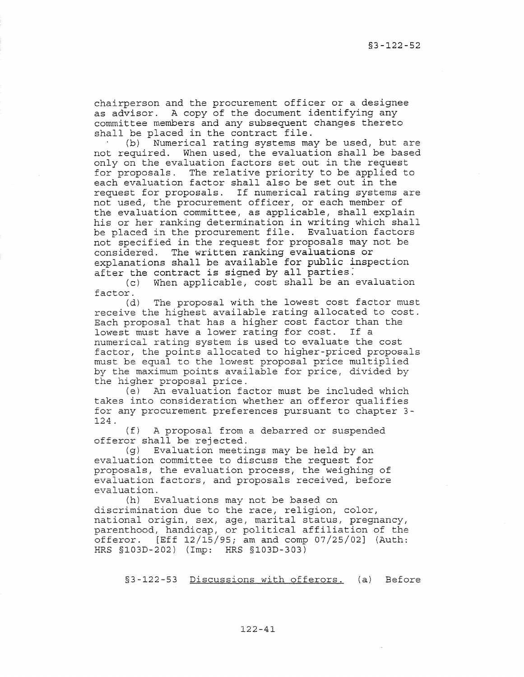chairperson and the procurement officer or a designee as advisor. A copy of the document identifying any committee members and any subsequent changes thereto shall be placed in *the* contract file.

(b) Numerical rating systems may be used, but *are*  not required. When used, *the* evaluation shall be based only on the evaluation factors set out in *the* request for proposals. The relative priority to be applied to each evaluation factor shall also be set out in the request for proposals. If numerical rating systems are not used, *the* procurement officer, or each member of *the* evaluation *committee,* as applicable, shall explain his or her ranking determination in writing which shall be placed in the procurement file. Evaluation factors not specified in the request for proposals may not be considered. The written ranking evaluations or explanations shall be available for public inspection after the contract is signed by all parties.<br>(c) When applicable, cost shall be an

When applicable, cost shall be an evaluation

factor.<br>(d) The proposal with the lowest cost factor must *receive the* highest available rating allocated to cost. Each proposal that has a higher cost factor than the<br>lowest must have a lower rating for cost. If a lowest must have a lower rating for cost. numerical rating system is used to evaluate the cost factor, the points allocated to higher-priced proposals must be equal to the lowest proposal price multiplied by the maximum points available for price, divided by the higher proposal *price.* 

*(e)* An evaluation factor must be included which takes into consideration whether an offeror qualifies for any procurement preferences pursuant to chapter 3- 124.

(f) A proposal from a debarred or suspended offeror shall be rejected.

(g) Evaluation meetings may be held by an evaluation *committee* to discuss *the* request for proposals, the evaluation process, *the* weighing of evaluation factors, and proposals received, before evaluation.<br>(h) E

Evaluations may not be based on discrimination due to *the* race, religion, color, national origin, sex, *age,* marital status, pregnancy, parenthood, handicap, or political affiliation of *the*  offeror. [Eff 12/15/95; am and comp 07/25/02] (Auth: HRS §103D-202) (Imp: HRS §103D-303)

§3-122-53 Discussions with offerors. (a) Before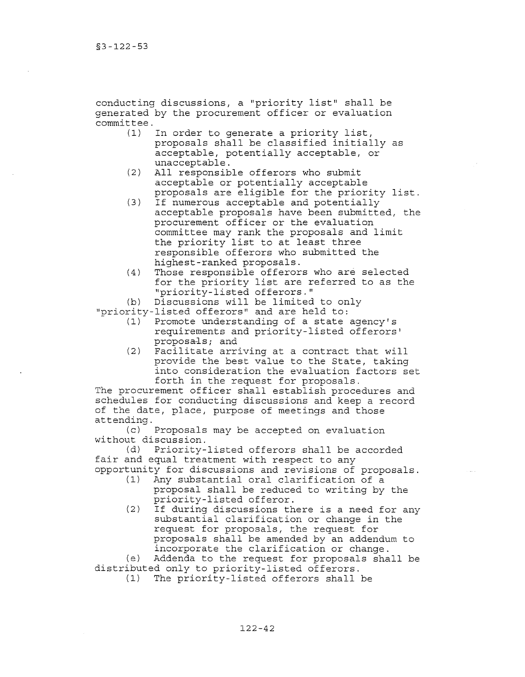conducting discussions, a "priority list" shall be generated by the procurement officer or evaluation  $committee.$ <br>(1)

- In order to generate a priority list, proposals shall be classified initially as acceptable, potentially acceptable, or unacceptable.
- (2) All responsible offerors who submit acceptable or potentially acceptable proposals are eligible for the priority list.
- (3) If numerous acceptable and potentially acceptable proposals have been submitted, the procurement officer or the evaluation committee may rank the proposals and limit the priority list to at least three responsible offerors who submitted the highest-ranked proposals.
- (4) Those responsible offerors who are selected for the priority list are referred to as the "priority-listed offerors."

(b) Discussions will be limited to only

"priority-listed offerors" and are held to:

- Promote understanding of a state agency's requirements and priority-listed offerors' proposa-ls; and
- (2) Facilitate arriving at a contract that will provide the best value to the State, taking into consideration the evaluation factors set forth in the request for proposals.

The procurement officer shall establish procedures and schedules for conducting discussions and keep a record of the date, place, purpose of meetings and those attending.

(c) Proposals may be accepted on evaluation without discussion.

(d) Priority-listed offerors shall be accorded fair and equal treatment with respect to any

- opportunity for discussions and revisions of proposals. Any substantial oral clarification of a proposal shall be reduced to writing by the priority-listed offeror.
	- (2) If during discussions there is a need for any substantial clarification or change in the request for proposals, the request for proposals shall be amended by an addendum to incorporate the clarification or change.

(e) Addenda to the request for proposals shall be distributed only to priority-listed offerors.<br>(1) The priority-listed offerors shall

The priority-listed offerors shall be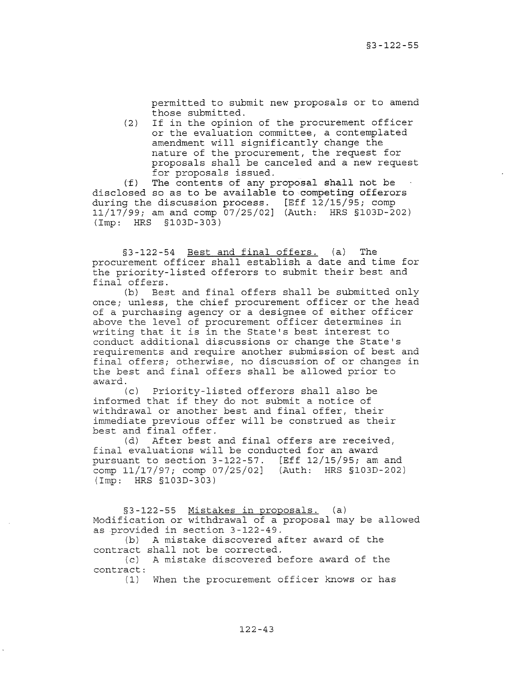permitted to submit new proposals or to amend those submitted.

(2) If in the opinion of the procurement officer or the evaluation committee, a contemplated amendment will significantly change the nature of the procurement, the request for proposals shall be canceled and a new request for proposals issued.

(f) The contents of any proposal shall not be disclosed so as to be available to competing offerors during the discussion process. [Eff 12/15/95; comp 11/17/99; am and comp 07/25/02] (Auth: HRS §103D-202) (Imp: HRS §103D-303)

§3-122-54 Best and final offers. (a) The procurement officer shall establish a date and time for the priority-listed offerors to submit their best and final offers.

(b) Best and final offers shall be submitted only once; unless, the chief procurement officer or the head of a purchasing agency or a designee of either officer above the level of procurement officer determines in writing that it is in the State's best interest to conduct additional discussions or change the State's requirements and require another submission of best and final offers; otherwise, no discussion of or changes in the best and final offers shall be allowed prior to award.

(c) Priority-listed offerors shall also be informed that if they do not submit a notice of withdrawal or another best and final offer, their immediate previous offer will be construed as their best and final offer.

(d) After best and final offers are received, final evaluations will be conducted for an award pursuant to section 3-122-57. [Eff 12/15/95; am and comp 11/17/97; comp 07/25/02] (Auth: HRS §103D-202) (Imp: HRS §103D-303)

§3-122-55 Mistakes in proposals. (a) Modification or withdrawal of a proposal may be allowed as provided in section 3-122-49.

(b) A mistake discovered after award of the contract shall not be corrected.

(c) A mistake discovered before award of the contract:

(1) When the procurement officer knows or has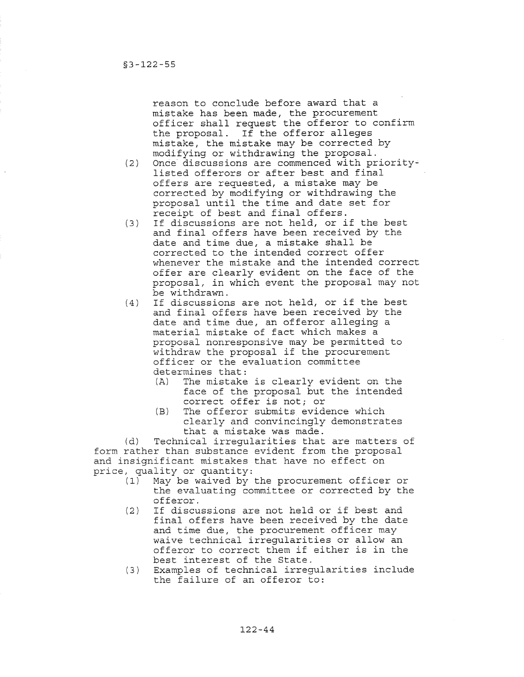reason to conclude before award that a mistake has been made, the procurement officer shall request the offeror to confirm the proposal. If the offeror alleges mistake, the mistake may be corrected by modifying or withdrawing the proposal.

- (2) Once discussions are commenced with prioritylisted offerors or after best and final offers are requested, a mistake may be corrected by modifying or withdrawing the proposal until the time and date set for receipt of best and final offers.
- (3) If discussions are not held, or if the best and final offers have been received by the date and time due, a mistake shall be corrected to the intended correct offer whenever the mistake and the intended correct offer are clearly evident on the face of the proposal, in which event the proposal may not be withdrawn.
- (4) If discussions are not held, or if the best and final offers have been received by the date and time due, an offeror alleging a material mistake of fact which makes a proposal nonresponsive may be permitted to withdraw the proposal if the procurement officer or the evaluation committee determines that:<br>(A) The mistake
	- The mistake is clearly evident on the face of the proposal but the intended correct offer is not; or
	- (B) The offeror submits evidence which clearly and convincingly demonstrates that a mistake was made.

(d) Technical irregularities that are matters of form rather than substance evident from the proposal and insignificant mistakes that have no effect on price, quality or quantity:<br>(1) May be waived by

- May be waived by the procurement officer or the evaluating committee or corrected by the offeror.
- (2) If discussions are not held or if best and final offers have been received by the date and time due, the procurement officer may waive technical irregularities or allow an offeror to correct them if either is in the best interest of the State.
- (3) Examples of technical irregularities include the failure of an offeror to: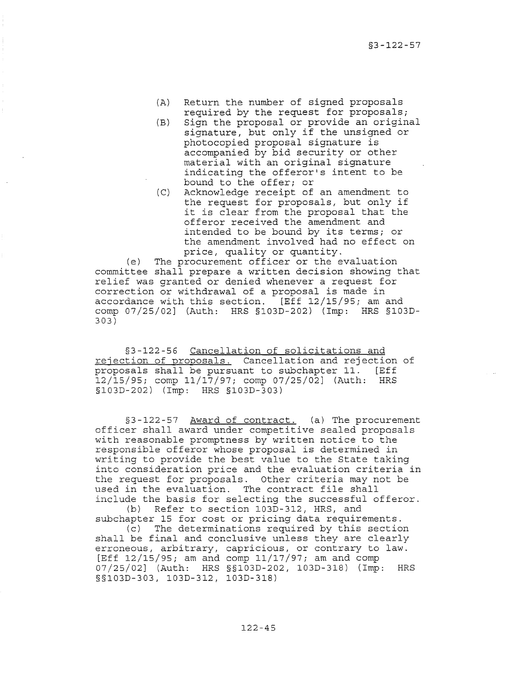- (A) Return the number of signed proposals required by the request for proposals;
- (B) Sign the proposal or provide an original signature, but only if the unsigned or photocopied proposal signature is accompanied by bid security or other material with an original signature indicating the offeror's intent to be bound to the offer; or
- (C) Acknowledge receipt of an amendment to the request for proposals, but only if it is clear from the proposal that the offeror received the amendment and intended to be bound by its terms; or the amendment involved had no effect on price, quality or quantity.

(e) The procurement officer or the evaluation committee shall prepare a written decision showing that relief was granted or denied whenever a request for correction or withdrawal of a proposal is made in accordance with this section. [Eff 12/15/95; am and comp 07/25/02] (Auth: HRS §103D-202) (Imp: HRS §103D-303)

§3-122-56 Cancellation of solicitations and rejection of proposals. Cancellation and rejection of proposals shall be pursuant to subchapter 11. [Eff 12/15/95; comp *11/17/97i* comp 07/25/02] (Auth: HRS §103D-202) (Imp: HRS §103D-303)

§3-122-57 Award of contract. (a) The procurement officer shall award under competitive sealed proposals with reasonable promptness by written notice to the responsible offeror whose proposal is determined in writing to provide the best value to the State taking into consideration price and the evaluation criteria in the request for proposals. Other criteria may not be used in the evaluation. The contract file shall include the basis for selecting the successful offeror. (b) Refer to section 103D-312, HRS, and

subchapter 15 for cost or pricing data requirements. (c) The determinations required by this section shall be final and conclusive unless they are clearly erroneous, arbitrary, capricious, or contrary to law. [Eff 12/15/95; am and comp 11/17/97; am and comp 07/25/02J (Auth: HRS §§103D-202, 103D-318) (Imp: HRS §§103D-303, 103D-312, 103D-318)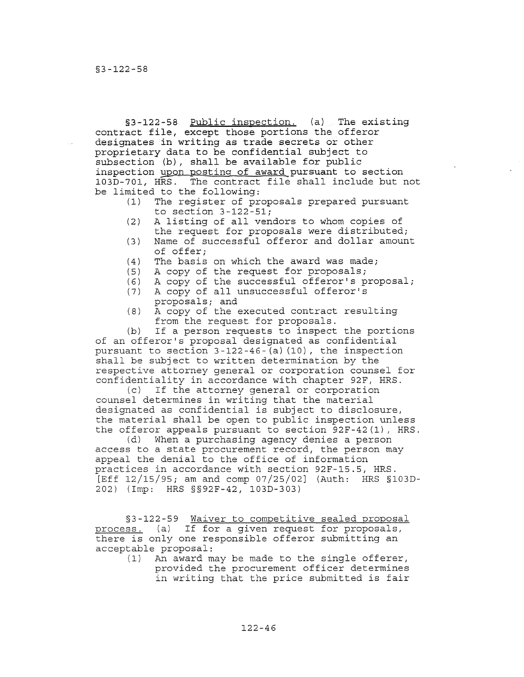§3-122-58 Public inspection. (a) The existing contract file, except those portions the offeror designates in writing as trade secrets or other proprietary data to be confidential subject to subsection (b), shall be available for public inspection upon posting of award pursuant to section 103D-701, HRS. The contract file shall include but not be limited to the following:<br>(1) The register of pr

- The register of proposals prepared pursuant to section 3-122-51;
- (2) A listing of all vendors to whom copies of the request for proposals were distributed;
- (3) Name of successful offeror and dollar amount of offer;
- (4) The basis on which the award was made;<br>(5) A copy of the request for proposals;
- (5) A copy of the request for proposals;<br>(6) A copy of the successful offeror's p
- A copy of the successful offeror's proposal;
- (7) A copy of all unsuccessful offeror's proposals; and
- (8) A copy of the executed contract resulting from the request for proposals.

(b) If a person requests to inspect the portions of an offeror's proposal designated as confidential pursuant to section 3-122-46-(a) (10), the inspection shall be subject to written determination by the respective attorney general or corporation counsel for confidentiality in accordance with chapter 92F, HRS.

(c) If the attorney general or corporation counsel determines in writing that the material designated as confidential is subject to disclosure, the material shall be open to public inspection unless the offeror appeals pursuant to section 92F-42(1), HRS.<br>(d) When a purchasing agency denies a person

When a purchasing agency denies a person access to a state procurement record, the person may appeal the denial to the office of information practices in accordance with section 92F-15.5, HRS. [Eff 12/15/95; am and comp 07/25/02J (Auth: HRS §103D-202) (Imp: HRS §§92F-42, 103D-303)

§3-122-59 Waiver to competitive sealed proposal process. (a) If for a given request for proposals, there is only one responsible offeror submitting an acceptable proposal:

(1) An award may be made to the single offerer, provided the procurement officer determines in writing that the price submitted is fair